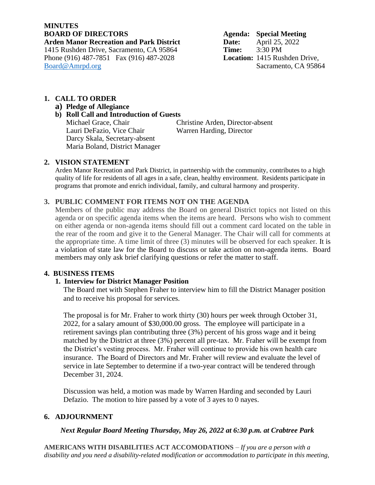# **MINUTES Arden Manor Recreation and Park District Date:** April 25, 2022<br>1415 Rushden Drive, Sacramento, CA 95864 Time: 3:30 PM 1415 Rushden Drive, Sacramento, CA 95864 **Time:** 3:30 PM Phone (916) 487-7851 Fax (916) 487-2028 [Board@Amrpd.org](mailto:Board@Amrpd.org) Sacramento, CA 95864

**Agenda: Special Meeting** 

## **1. CALL TO ORDER**

## **a) Pledge of Allegiance**

#### **b) Roll Call and Introduction of Guests**

Michael Grace, Chair Christine Arden, Director-absent Lauri DeFazio, Vice Chair Warren Harding, Director Darcy Skala, Secretary-absent Maria Boland, District Manager

## **2. VISION STATEMENT**

Arden Manor Recreation and Park District, in partnership with the community, contributes to a high quality of life for residents of all ages in a safe, clean, healthy environment. Residents participate in programs that promote and enrich individual, family, and cultural harmony and prosperity.

## **3. PUBLIC COMMENT FOR ITEMS NOT ON THE AGENDA**

Members of the public may address the Board on general District topics not listed on this agenda or on specific agenda items when the items are heard. Persons who wish to comment on either agenda or non-agenda items should fill out a comment card located on the table in the rear of the room and give it to the General Manager. The Chair will call for comments at the appropriate time. A time limit of three (3) minutes will be observed for each speaker. It is a violation of state law for the Board to discuss or take action on non-agenda items. Board members may only ask brief clarifying questions or refer the matter to staff.

## **4. BUSINESS ITEMS**

## **1. Interview for District Manager Position**

The Board met with Stephen Fraher to interview him to fill the District Manager position and to receive his proposal for services.

The proposal is for Mr. Fraher to work thirty (30) hours per week through October 31, 2022, for a salary amount of \$30,000.00 gross. The employee will participate in a retirement savings plan contributing three (3%) percent of his gross wage and it being matched by the District at three (3%) percent all pre-tax. Mr. Fraher will be exempt from the District's vesting process. Mr. Fraher will continue to provide his own health care insurance. The Board of Directors and Mr. Fraher will review and evaluate the level of service in late September to determine if a two-year contract will be tendered through December 31, 2024.

Discussion was held, a motion was made by Warren Harding and seconded by Lauri Defazio. The motion to hire passed by a vote of 3 ayes to 0 nayes.

## **6. ADJOURNMENT**

## *Next Regular Board Meeting Thursday, May 26, 2022 at 6:30 p.m. at Crabtree Park*

**AMERICANS WITH DISABILITIES ACT ACCOMODATIONS** *– If you are a person with a disability and you need a disability-related modification or accommodation to participate in this meeting,*